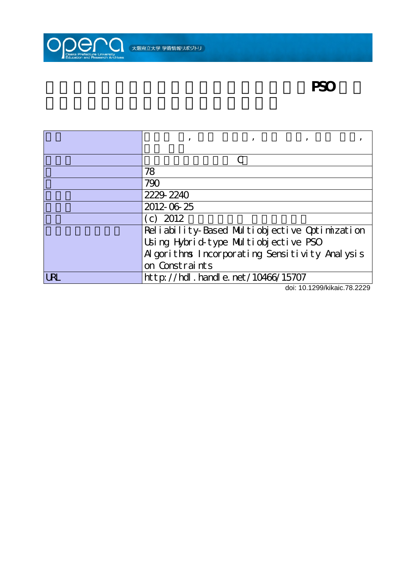

# **制約の感度を用いるハイブリッド型多目的PSO を利**

|                             | 78                                            |  |  |
|-----------------------------|-----------------------------------------------|--|--|
|                             | 790                                           |  |  |
|                             | 2229 2240                                     |  |  |
|                             | 2012-06-25                                    |  |  |
|                             | 2012<br>$\mathcal{C}$                         |  |  |
|                             | Reliability-Based Multiobjective Optimization |  |  |
|                             | Using Hybrid-type Multiobjective PSO          |  |  |
|                             | Algorithms Incorporating Sensitivity Analysis |  |  |
|                             | on Constraints                                |  |  |
| URL                         | $http$ ://hdl. handle. net/10466/15707        |  |  |
| doi: 10.1299/kikaic.78.2229 |                                               |  |  |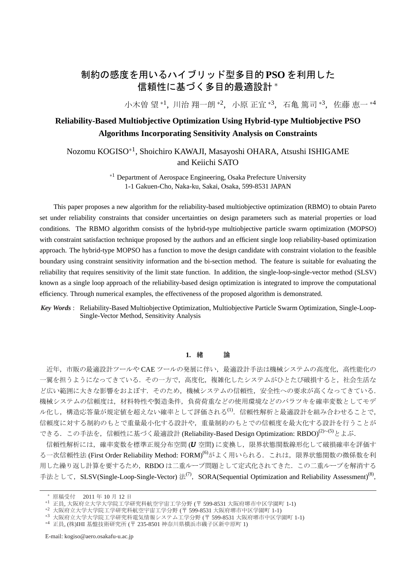## 制約の感度を用いるハイブリッド型多目的 **PSO** を利用した 信頼性に基づく多目的最適設計 <sup>∗</sup>

小木曽 望 \*1, 川治 翔一朗 \*2,小原 正宜 \*3,石亀 篤司 \*3,佐藤 恵一 \*4

### **Reliability-Based Multiobjective Optimization Using Hybrid-type Multiobjective PSO Algorithms Incorporating Sensitivity Analysis on Constraints**

Nozomu KOGISO∗<sup>1</sup> , Shoichiro KAWAJI, Masayoshi OHARA, Atsushi ISHIGAME and Keiichi SATO

> <sup>∗</sup><sup>1</sup> Department of Aerospace Engineering, Osaka Prefecture University 1-1 Gakuen-Cho, Naka-ku, Sakai, Osaka, 599-8531 JAPAN

This paper proposes a new algorithm for the reliability-based multiobjective optimization (RBMO) to obtain Pareto set under reliability constraints that consider uncertainties on design parameters such as material properties or load conditions. The RBMO algorithm consists of the hybrid-type multiobjective particle swarm optimization (MOPSO) with constraint satisfaction technique proposed by the authors and an efficient single loop reliability-based optimization approach. The hybrid-type MOPSO has a function to move the design candidate with constraint violation to the feasible boundary using constraint sensitivity information and the bi-section method. The feature is suitable for evaluating the reliability that requires sensitivity of the limit state function. In addition, the single-loop-single-vector method (SLSV) known as a single loop approach of the reliability-based design optimization is integrated to improve the computational efficiency. Through numerical examples, the effectiveness of the proposed algorithm is demonstrated.

*Key Words* : Reliability-Based Multiobjective Optimization, Multiobjective Particle Swarm Optimization, Single-Loop-Single-Vector Method, Sensitivity Analysis

#### **1.** 緒 論

近年,市販の最適設計ツールや CAE ツールの発展に伴い,最適設計手法は機械システムの高度化,高性能化の 一翼を担うようになってきている. その一方で、高度化、複雑化したシステムがひとたび破損すると、社会生活な ど広い範囲に大きな影響をおよぼす. そのため,機械システムの信頼性,安全性への要求が高くなってきている. 機械システムの信頼度は,材料特性や製造条件,負荷荷重などの使用環境などのバラツキを確率変数としてモデ ル化し、構造応答量が規定値を超えない確率として評価される<sup>(1)</sup>. 信頼性解析と最適設計を組み合わせることで, 信頼度に対する制約のもとで重量最小化する設計や,重量制約のもとでの信頼度を最大化する設計を行うことが できる.この手法を,信頼性に基づく最適設計 (Reliability-Based Design Optimization: RBDO)(2)∼(5)とよぶ.

信頼性解析には,確率変数を標準正規分布空間 (*U* 空間) に変換し,限界状態関数線形化して破損確率を評価す る一次信頼性法 (First Order Reliability Method: FORM)<sup>(6)</sup>がよく用いられる. これは,限界状態関数の微係数を利 用した繰り返し計算を要するため、RBDO は二重ループ問題として定式化されてきた.この二重ループを解消する 手法として, SLSV(Single-Loop-Single-Vector) 法<sup>(7)</sup>, SORA(Sequential Optimization and Reliability Assessment)<sup>(8)</sup>,

E-mail: kogiso@aero.osakafu-u.ac.jp

<sup>∗</sup> 原稿受付 2011 年 10 月 12 日

<sup>∗</sup><sup>1</sup> 正員, 大阪府立大学大学院工学研究科航空宇宙工学分野 (〒 599-8531 大阪府堺市中区学園町 1-1)

<sup>∗</sup><sup>2</sup> 大阪府立大学大学院工学研究科航空宇宙工学分野 (〒 599-8531 大阪府堺市中区学園町 1-1)

<sup>∗</sup><sup>3</sup> 大阪府立大学大学院工学研究科電気情報システム工学分野 (〒 599-8531 大阪府堺市中区学園町 1-1)

<sup>∗</sup><sup>4</sup> 正員, (株)IHI 基盤技術研究所 (〒 235-8501 神奈川県横浜市磯子区新中原町 1)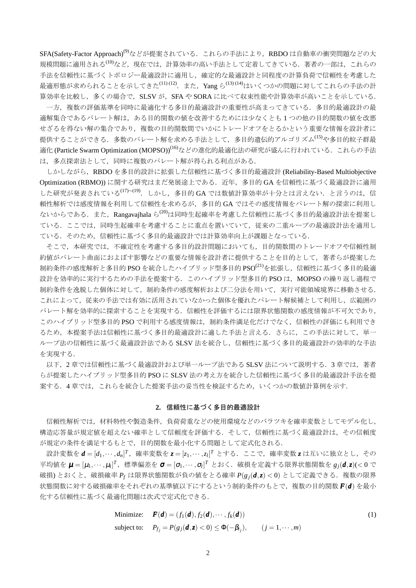SFA(Safety-Factor Approach)<sup>(9)</sup>などが提案されている. これらの手法により, RBDO は自動車の衝突問題などの大 規模問題に適用される<sup>(10)</sup>など,現在では、計算効率の高い手法として定着してきている. 著者の一部は、これらの 手法を信頼性に基づくトポロジー最適設計に適用し,確定的な最適設計と同程度の計算負荷で信頼性を考慮した 最適形態が求められることを示してきた<sup>(11)(12)</sup>. また, Yang ら<sup>(13)(14)</sup>はいくつかの問題に対してこれらの手法の計 算効率を比較し、多くの場合で、SLSV が、SFA や SORA に比べて収束性能や計算効率が高いことを示している.

一方,複数の評価基準を同時に最適化する多目的最適設計の重要性が高まってきている.多目的最適設計の最 適解集合であるパレート解は,ある目的関数の値を改善するためには少なくとも 1 つの他の目的関数の値を改悪 せざるを得ない解の集合であり,複数の目的関数間でいかにトレードオフをとるかという重要な情報を設計者に 提供することができる. 多数のパレート解を求める手法として, 多目的遺伝的アルゴリズム<sup>(15)</sup>や多目的粒子群最 適化 (Particle Swarm Optimization (MOPSO))<sup>(16)</sup>などの進化的最適化法の研究が盛んに行われている. これらの手法 は,多点探索法として,同時に複数のパレート解が得られる利点がある.

しかしながら、RBDO を多目的設計に拡張した信頼性に基づく多目的最適設計 (Reliability-Based Multiobjective Optimization (RBMO)) に関する研究はまだ発展途上である.近年,多目的 GA を信頼性に基づく最適設計に適用 した研究が発表されている<sup>(17)~(19)</sup>. しかし, 多目的 GA では数値計算効率が十分とは言えない. と言うのは, 信 頼性解析では感度情報を利用して信頼性を求めるが,多目的 GA ではその感度情報をパレート解の探索に利用し ないからである.また, Rangavajhala ら<sup>(20)</sup>は同時生起確率を考慮した信頼性に基づく多目的最適設計法を提案し ている.ここでは,同時生起確率を考慮することに重点を置いていて,従来の二重ループの最適設計法を適用し ている.そのため,信頼性に基づく多目的最適設計では計算効率向上が課題となっている.

そこで,本研究では,不確定性を考慮する多目的設計問題においても,目的関数間のトレードオフや信頼性制 約値がパレート曲面におよぼす影響などの重要な情報を設計者に提供することを目的として,著者らが提案した 制約条件の感度解析と多目的 PSO を統合したハイブリッド型多目的 PSO<sup>(21)</sup>を拡張し、信頼性に基づく多目的最適 設計を効率的に実行するための手法を提案する.このハイブリッド型多目的 PSO は、MOPSO の繰り返し過程で 制約条件を逸脱した個体に対して,制約条件の感度解析および二分法を用いて,実行可能領域境界に移動させる. これによって,従来の手法では有効に活用されていなかった個体を優れたパレート解候補として利用し,広範囲の パレート解を効率的に探索することを実現する.信頼性を評価するには限界状態関数の感度情報が不可欠であり, このハイブリッド型多目的 PSO で利用する感度情報は、制約条件満足化だけでなく、信頼性の評価にも利用でき るため,本提案手法は信頼性に基づく多目的最適設計に適した手法と言える.さらに,この手法に対して,単一 ループ法の信頼性に基づく最適設計法である SLSV 法を統合し,信頼性に基づく多目的最適設計の効率的な手法 を実現する.

以下, 2 章では信頼性に基づく最適設計および単一ループ法である SLSV 法について説明する. 3 章では、著者 らが提案したハイブリッド型多目的 PSO に SLSV 法の考え方を統合した信頼性に基づく多目的最適設計手法を提 案する.4 章では,これらを統合した提案手法の妥当性を検証するため,いくつかの数値計算例を示す.

#### **2.** 信頼性に基づく多目的最適設計

信頼性解析では,材料特性や製造条件,負荷荷重などの使用環境などのバラツキを確率変数としてモデル化し, 構造応答量が規定値を超えない確率として信頼度を評価する.そして,信頼性に基づく最適設計は,その信頼度 が規定の条件を満足するもとで,目的関数を最小化する問題として定式化される.

設計変数を *d* = [*d*1,··· ,*dn*] *<sup>T</sup>*,確率変数を *z* = [*z*1,··· ,*z<sup>l</sup>* ] *<sup>T</sup>* とする.ここで,確率変数 *z* は互いに独立とし,その 平均値を  $\pmb{\mu}=[\pmb{\mu}_1,\cdots,\pmb{\mu}_l]^T$ ,標準偏差を  $\pmb{\sigma}=[\pmb{\sigma}_1,\cdots,\pmb{\sigma}_l]^T$  とおく.破損を定義する限界状態関数を  $g_j(\pmb{d},\pmb{z})$ (< 0 で 破損) とおくと,破損確率 *P<sup>f</sup>* は限界状態関数が負の値をとる確率 *P*(*gj*(*d*,*z*) < 0) として定義できる.複数の限界 状態関数に対する破損確率をそれぞれの基準値以下にするという制約条件のもとで,複数の目的関数 *F*(*d*) を最小 化する信頼性に基づく最適化問題は次式で定式化できる.

Minimize: 
$$
\mathbf{F}(\mathbf{d}) = (f_1(\mathbf{d}), f_2(\mathbf{d}), \cdots, f_k(\mathbf{d}))
$$
  
\nsubject to:  $P_{f_j} = P(g_j(\mathbf{d}, \mathbf{z}) < 0) \le \Phi(-\beta_{t_j}), \qquad (j = 1, \cdots, m)$  (1)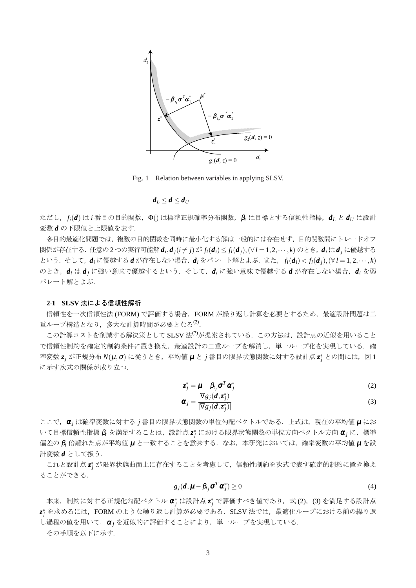

Fig. 1 Relation between variables in applying SLSV.

 $d_L \leq d \leq d_U$ 

ただし,*fi*(*d*) は *i* 番目の目的関数,Φ() は標準正規確率分布関数,β*<sup>t</sup>* は目標とする信頼性指標,*d<sup>L</sup>* と *d<sup>U</sup>* は設計 変数 *d* の下限値と上限値を表す.

多目的最適化問題では,複数の目的関数を同時に最小化する解は一般的には存在せず,目的関数間にトレードオフ 関係が存在する.任意の2つの実行可能解 $\bm{d}_i, \bm{d}_j (i\neq j)$ が $f_l(\bm{d}_i) \leq f_l(\bm{d}_j), (\forall\, l=1,2,\cdots,k)$  のとき, $\bm{d}_i$ は $\bm{d}_j$ に優越する という.そして,*d<sup>i</sup>* に優越する *d* が存在しない場合,*d<sup>i</sup>* をパレート解とよぶ.また, *fl*(*di*) < *fl*(*d <sup>j</sup>*),(∀ *l* = 1,2,··· ,*k*) のとき,*d<sup>i</sup>* は *d <sup>j</sup>* に強い意味で優越するという.そして,*d<sup>i</sup>* に強い意味で優越する *d* が存在しない場合,*d<sup>i</sup>* を弱 パレート解とよぶ.

#### **2**·**1 SLSV** 法による信頼性解析

信頼性を一次信頼性法 (FORM) で評価する場合, FORM が繰り返し計算を必要とするため,最適設計問題は二  $[$ 重ループ構造となり、多大な計算時間が必要となる $^{(2)}$ .

この計算コストを削減する解決策として SLSV 法<sup>(7)</sup>が提案されている. この方法は、設計点の近似を用いること で信頼性制約を確定的制約条件に置き換え,最適設計の二重ループを解消し,単一ループ化を実現している.確 率変数 *z<sub>j</sub> が正規分布 N(μ*,σ) に従うとき, 平均値 μ と *j* 番目の限界状態関数に対する設計点 z<sup>\*</sup>j との間には, 図 1 に示す次式の関係が成り立つ.

$$
z_j^* = \boldsymbol{\mu} - \beta_{t_j} \boldsymbol{\sigma}^T \boldsymbol{\alpha}_j^*
$$
 (2)

$$
\boldsymbol{\alpha}_j = \frac{\nabla g_j(\boldsymbol{d}, \boldsymbol{z}_j^*)}{|\nabla g_j(\boldsymbol{d}, \boldsymbol{z}_j^*)|} \tag{3}
$$

ここで, α<sub>j</sub> は確率変数に対する j 番目の限界状態関数の単位勾配ベクトルである. 上式は, 現在の平均値μにお いて目標信頼性指標 β tを満足することは,設計点 z<sup>\*</sup> における限界状態関数の単位方向ベクトル方向 α j に,標準 偏差の β*<sup>t</sup>* 倍離れた点が平均値 <sup>µ</sup> と一致することを意味する.なお,本研究においては,確率変数の平均値 <sup>µ</sup> を設 計変数 *d* として扱う.

これと設計点 z<sup>\*</sup> が限界状態曲面上に存在することを考慮して, 信頼性制約を次式で表す確定的制約に置き換え ることができる.

$$
g_j(\boldsymbol{d}, \boldsymbol{\mu} - \beta_{t_j} \boldsymbol{\sigma}^T \boldsymbol{\alpha}_j^*) \ge 0
$$
\n(4)

本来,制約に対する正規化勾配ベクトル  $\alpha_j^*$ は設計点  $z_j^*$  で評価すべき値であり, 式(2), (3) を満足する設計点  $\textbf{z}^*_j$  を求めるには,FORM のような繰り返し計算が必要である.SLSV 法では,最適化ループにおける前の繰り返 し過程の値を用いて, α<sub>j</sub> を近似的に評価することにより, 単一ループを実現している.

その手順を以下に示す.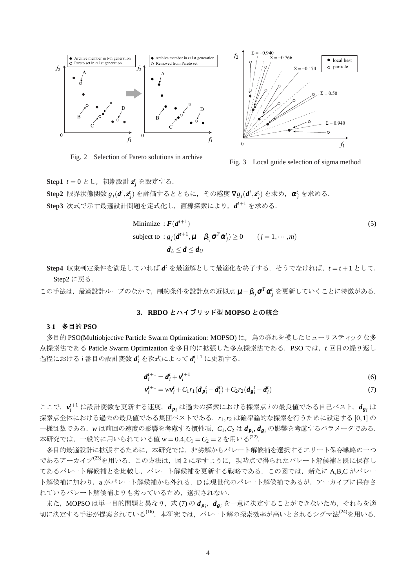

Fig. 2 Selection of Pareto solutions in archive



Fig. 3 Local guide selection of sigma method

**Step1**  $t = 0$ とし, 初期設計  $z_j$ を設定する.

 $\textbf{Step 2}$  限界状態関数  $g_j(\boldsymbol{d}^t, \boldsymbol{z}^t_j)$  を評価するとともに,その感度  $\nabla g_j(\boldsymbol{d}^t, \boldsymbol{z}^t_j)$  を求め, $\boldsymbol{\alpha}^t_j$  を求める. **Step3** 次式で示す最適設計問題を定式化し,直線探索により,*d <sup>t</sup>*+<sup>1</sup> を求める.

Minimize: 
$$
\mathbf{F}(\mathbf{d}^{t+1})
$$
  
\nsubject to:  $g_j(\mathbf{d}^{t+1}, \mathbf{\mu} - \beta_{t_j} \mathbf{\sigma}^T \mathbf{\alpha}_j^t) \ge 0$   $(j = 1, \dots, m)$   
\n $\mathbf{d}_L \le \mathbf{d} \le \mathbf{d}_U$  (5)

**Step4** 収束判定条件を満足していれば *d <sup>t</sup>* を最適解として最適化を終了する.そうでなければ,*t* = *t* +1 として, Step2 に戻る.

この手法は,最適設計ループのなかで,制約条件を設計点の近似点 μ-β<sub>t</sub><sub>j</sub>σ<sup>r</sup>α'<sub>j</sub>を更新していくことに特徴がある.

#### **3. RBDO** とハイブリッド型 **MOPSO** との統合

#### **3**·**1** 多目的 **PSO**

多目的 PSO(Multiobjective Particle Swarm Optimization: MOPSO) は、鳥の群れを模したヒューリスティックな多 点探索法である Paticle Swarm Optimization を多目的に拡張した多点探索法である.PSO では,*t* 回目の繰り返し 過程における *i* 番目の設計変数 *d t <sup>i</sup>* を次式によって *d t*+1 *<sup>i</sup>* に更新する.

$$
\boldsymbol{d}_i^{t+1} = \boldsymbol{d}_i^t + \boldsymbol{v}_i^{t+1} \tag{6}
$$

$$
\mathbf{v}_{i}^{t+1} = w\mathbf{v}_{i}^{t} + C_{1}r_{1}(\mathbf{d}_{\mathbf{p}_{i}^{t}} - \mathbf{d}_{i}^{t}) + C_{2}r_{2}(\mathbf{d}_{\mathbf{g}_{i}^{t}} - \mathbf{d}_{i}^{t})
$$
\n(7)

ここで,*v t*+1 *<sup>i</sup>* は設計変数を更新する速度,*d pi* は過去の探索における探索点 *i* の最良値である自己ベスト,*dgi* は 探索点全体における過去の最良値である集団ベストである.*r*1,*r*<sup>2</sup> は確率論的な探索を行うために設定する [0,1] の 一様乱数である.*w* は前回の速度の影響を考慮する慣性項,*C*1,*C*<sup>2</sup> は *d pi* , *dgi* の影響を考慮するパラメータである. 本研究では,一般的に用いられている値 *w* = 0.4,*C*<sup>1</sup> = *C*<sup>2</sup> = 2 を用いる(22).

多目的最適設計に拡張するために、本研究では、非劣解からパレート解候補を選択するエリート保存戦略の一つ であるアーカイブ<sup>(23)</sup>を用いる. この方法は、図2に示すように、現時点で得られたパレート解候補と既に保存し てあるパレート解候補とを比較し,パレート解候補を更新する戦略である.この図では,新たに A,B,C がパレー ト解候補に加わり, a がパレート解候補から外れる. D は現世代のパレート解候補であるが, アーカイブに保存さ れているパレート解候補よりも劣っているため,選択されない.

また, MOPSOは単一目的問題と異なり, 式(7)のdpi, dgi を一意に決定することができないため, それらを適 切に決定する手法が提案されている<sup>(16)</sup>.本研究では, パレート解の探索効率が高いとされるシグマ法<sup>(24)</sup>を用いる.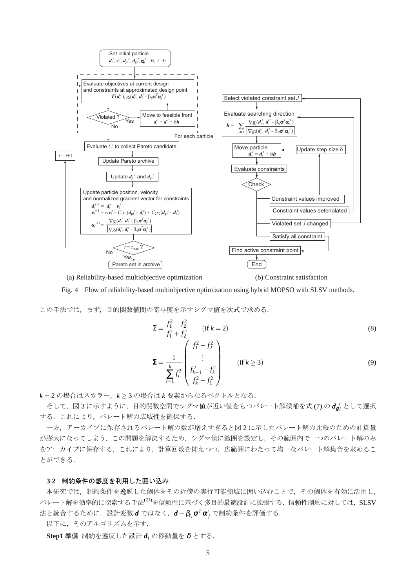

(a) Reliability-based multiobjective optimization (b) Constraint satisfaction

Fig. 4 Flow of reliability-based multiobjective optimization using hybrid MOPSO with SLSV methods.

この手法では、まず、目的関数値間の寄与度を示すシグマ値を次式で求める.

$$
\Sigma = \frac{f_1^2 - f_2^2}{f_1^2 + f_2^2} \qquad \text{(if } k = 2\text{)}
$$
\n
$$
\Sigma = \frac{1}{\sum_{i=1}^k f_i^2} \begin{pmatrix} f_1^2 - f_2^2 \\ \vdots \\ f_{k-1}^2 - f_k^2 \\ f_k^2 - f_1^2 \end{pmatrix} \qquad \text{(if } k \ge 3\text{)}
$$
\n(9)

*k* = 2 の場合はスカラー,*k* ≥ 3 の場合は *k* 要素からなるベクトルとなる.

そして,図 3 に示すように,目的関数空間でシグマ値が近い値をもつパレート解候補を式 (7) の *d<sup>g</sup> t <sup>i</sup>* として選択 する. これにより、パレート解の広域性を確保する.

一方,アーカイブに保存されるパレート解の数が増えすぎると図 2 に示したパレート解の比較のための計算量 が膨大になってしまう.この問題を解決するため,シグマ値に範囲を設定し,その範囲内で一つのパレート解のみ をアーカイブに保存する.これにより,計算回数を抑えつつ,広範囲にわたって均一なパレート解集合を求めるこ とができる.

#### **3**·**2** 制約条件の感度を利用した囲い込み

本研究では,制約条件を逸脱した個体をその近傍の実行可能領域に囲い込むことで,その個体を有効に活用し, パレート解を効率的に探索する手法<sup>(21)</sup>を信頼性に基づく多目的最適設計に拡張する.信頼性制約に対しては、SLSV 法と統合するために,設設計変数 *d* ではなく, *d − β<sub>tj</sub>σ<sup>r</sup>α'; で*制約条件を評価する.

以下に,そのアルゴリズムを示す.

**Step1** 準備 制約を違反した設計 *d<sup>i</sup>* の移動量を <sup>δ</sup> とする.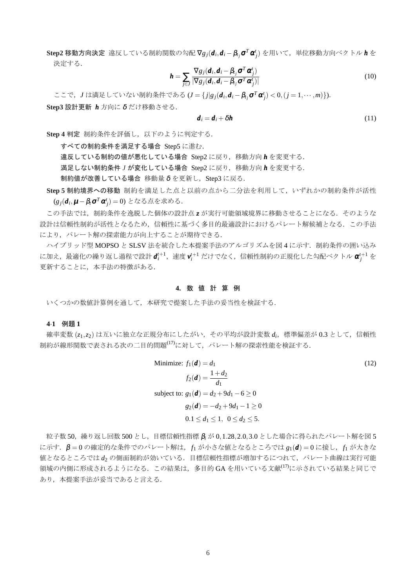**Step2** 移動方向決定 違反している制約関数の勾配 ∇*gj*(*d<sup>i</sup>* ,*d<sup>i</sup>* −β*tj*<sup>σ</sup> *T*<sup>α</sup> *t j* ) を用いて,単位移動方向ベクトル *h* を 決定する.

$$
\mathbf{h} = \sum_{j \in J} \frac{\nabla g_j(\mathbf{d}_i, \mathbf{d}_i - \beta_{t_j} \sigma^T \alpha_j^t)}{|\nabla g_j(\mathbf{d}_i, \mathbf{d}_i - \beta_{t_j} \sigma^T \alpha_j^t)|}
$$
(10)

ここで, *J* は満足していない制約条件である (*J* = { $j|g_j(\boldsymbol{d}_i,\boldsymbol{d}_i-\beta_{t_j}\boldsymbol{\sigma}^T\boldsymbol{\alpha}^t_j) < 0, (j = 1, \cdots, m)$ }). **Step3** 設計更新 *h* 方向に δ だけ移動させる.

$$
\boldsymbol{d}_i = \boldsymbol{d}_i + \delta \boldsymbol{h} \tag{11}
$$

**Step 4** 判定 制約条件を評価し,以下のように判定する.

すべての制約条件を満足する場合 Step5 に進む.

違反している制約の値が悪化している場合 Step2 に戻り,移動方向 h を変更する.

満足しない制約条件 *J* が変化している場合 Step2 に戻り,移動方向 *h* を変更する.

制約値が改善している場合 移動量  $\delta$  を更新し, Step3 に戻る.

**Step 5** 制約境界への移動 制約を満足した点と以前の点から二分法を利用して,いずれかの制約条件が活性 (*gj*(*d<sup>i</sup>* ,<sup>µ</sup> −β*t*<sup>σ</sup> *T*<sup>α</sup> *t j* ) = 0) となる点を求める.

この手法では、制約条件を逸脱した個体の設計点 z が実行可能領域境界に移動させることになる. そのような 設計は信頼性制約が活性となるため,信頼性に基づく多目的最適設計におけるパレート解候補となる.この手法 により、パレート解の探索能力が向上することが期待できる.

ハイブリッド型 MOPSO と SLSV 法を統合した本提案手法のアルゴリズムを図4に示す. 制約条件の囲い込み に加え,最適化の繰り返し過程で設計  $\bm{d}_i^{t+1}$ ,速度  $\bm{v}_i^{t+1}$  だけでなく,信頼性制約の正規化した勾配ベクトル  $\bm{\alpha}_j^{t+1}$  を 更新することに,本手法の特徴がある.

#### **4.** 数 値 計 算 例

いくつかの数値計算例を通して,本研究で提案した手法の妥当性を検証する.

#### **4**·**1** 例題 **1**

確率変数 (z1,z2) は互いに独立な正規分布にしたがい、その平均が設計変数 di,標準偏差が 0.3 として,信頼性 制約が線形関数で表される次の二目的問題<sup>(17)</sup>に対して、パレート解の探索性能を検証する.

Minimize: 
$$
f_1(\boldsymbol{d}) = d_1
$$
 (12)  
\n
$$
f_2(\boldsymbol{d}) = \frac{1 + d_2}{d_1}
$$
\nsubject to:  $g_1(\boldsymbol{d}) = d_2 + 9d_1 - 6 \ge 0$   
\n
$$
g_2(\boldsymbol{d}) = -d_2 + 9d_1 - 1 \ge 0
$$
\n
$$
0.1 \le d_1 \le 1, \ 0 \le d_2 \le 5.
$$

粒子数 50,繰り返し回数 500 とし,目標信頼性指標 β*<sup>i</sup>* が 0,1.28,2.0,3.0 とした場合に得られたパレート解を図 5 に示す.β = 0 の確定的な条件でのパレート解は,*f*<sup>1</sup> が小さな値となるところでは *g*1(*d*) = 0 に接し,*f*<sup>1</sup> が大きな 値となるところでは *d*<sup>2</sup> の側面制約が効いている.目標信頼性指標が増加するにつれて,パレート曲線は実行可能 領域の内側に形成されるようになる. この結果は、多目的 GA を用いている文献<sup>(17)</sup>に示されている結果と同じで あり,本提案手法が妥当であると言える.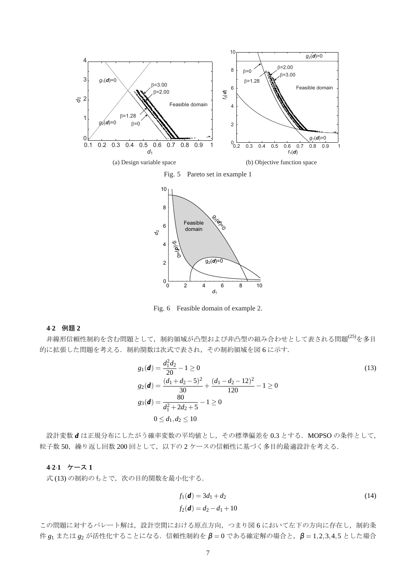

Fig. 5 Pareto set in example 1



Fig. 6 Feasible domain of example 2.

#### **4**·**2** 例題 **2**

非線形信頼性制約を含む問題として,制約領域が凸型および非凸型の組み合わせとして表される問題(25)を多目 的に拡張した問題を考える.制約関数は次式で表され,その制約領域を図 6 に示す.

$$
g_1(\boldsymbol{d}) = \frac{d_1^2 d_2}{20} - 1 \ge 0
$$
  
\n
$$
g_2(\boldsymbol{d}) = \frac{(d_1 + d_2 - 5)^2}{30} + \frac{(d_1 - d_2 - 12)^2}{120} - 1 \ge 0
$$
  
\n
$$
g_3(\boldsymbol{d}) = \frac{80}{d_1^2 + 2d_2 + 5} - 1 \ge 0
$$
  
\n
$$
0 \le d_1, d_2 \le 10
$$
\n(13)

設計変数 d は正規分布にしたがう確率変数の平均値とし、その標準偏差を 0.3 とする. MOPSO の条件として, 粒子数 50,繰り返し回数 200 回として,以下の 2 ケースの信頼性に基づく多目的最適設計を考える.

#### **4**·**2**·**1** ケース **1**

式(13)の制約のもとで、次の目的関数を最小化する.

$$
f_1(\boldsymbol{d}) = 3d_1 + d_2
$$
  
\n
$$
f_2(\boldsymbol{d}) = d_2 - d_1 + 10
$$
\n(14)

この問題に対するパレート解は、設計空間における原点方向、つまり図6において左下の方向に存在し、制約条 件 *g*<sup>1</sup> または *g*<sup>2</sup> が活性化することになる.信頼性制約を β = 0 である確定解の場合と,β = 1,2,3,4,5 とした場合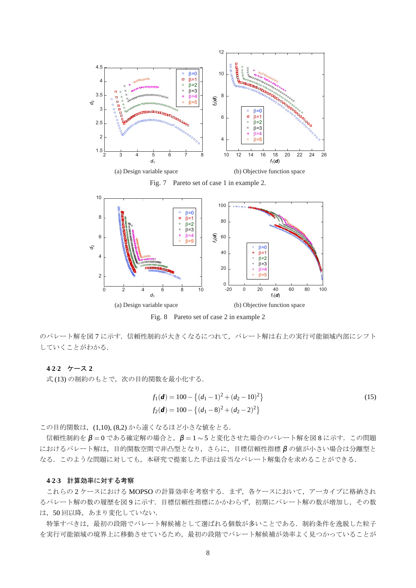

Fig. 7 Pareto set of case 1 in example 2.



Fig. 8 Pareto set of case 2 in example 2

のパレート解を図7に示す. 信頼性制約が大きくなるにつれて、パレート解は右上の実行可能領域内部にシフト していくことがわかる.

#### **4**·**2**·**2** ケース **2**

式(13)の制約のもとで、次の目的関数を最小化する.

$$
f_1(\boldsymbol{d}) = 100 - \left\{ (d_1 - 1)^2 + (d_2 - 10)^2 \right\}
$$
  
\n
$$
f_2(\boldsymbol{d}) = 100 - \left\{ (d_1 - 8)^2 + (d_2 - 2)^2 \right\}
$$
\n(15)

この目的関数は,(1,10), (8,2) から遠くなるほど小さな値をとる.

信頼性制約を $\beta = 0$ である確定解の場合と,  $\beta = 1 \sim 5$ と変化させた場合のパレート解を図 8 に示す. この問題 におけるパレート解は,目的関数空間で非凸型となり,さらに,目標信頼性指標 β の値が小さい場合は分離型と なる.このような問題に対しても,本研究で提案した手法は妥当なパレート解集合を求めることができる.

#### **4**·**2**·**3** 計算効率に対する考察

これらの2ケースにおける MOPSO の計算効率を考察する. まず, 各ケースにおいて、アーカイブに格納され るパレート解の数の履歴を図 9 に示す.目標信頼性指標にかかわらず,初期にパレート解の数が増加し,その数 は,50 回以降,あまり変化していない.

特筆すべきは,最初の段階でパレート解候補として選ばれる個数が多いことである.制約条件を逸脱した粒子 を実行可能領域の境界上に移動させているため,最初の段階でパレート解候補が効率よく見つかっていることが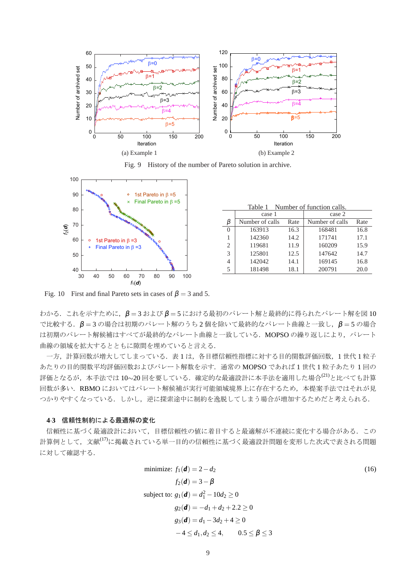

Fig. 9 History of the number of Pareto solution in archive.



| Number of function calls.<br>Table 1 |                 |      |                 |      |  |
|--------------------------------------|-----------------|------|-----------------|------|--|
|                                      | case 1          |      | case 2          |      |  |
| β                                    | Number of calls | Rate | Number of calls | Rate |  |
| $\Omega$                             | 163913          | 16.3 | 168481          | 16.8 |  |
|                                      | 142360          | 14.2 | 171741          | 17.1 |  |
| 2                                    | 119681          | 11.9 | 160209          | 15.9 |  |
| 3                                    | 125801          | 12.5 | 147642          | 14.7 |  |
| 4                                    | 142042          | 14.1 | 169145          | 16.8 |  |
| 5                                    | 181498          | 18.1 | 200791          | 20.0 |  |

Fig. 10 First and final Pareto sets in cases of  $\beta = 3$  and 5.

わかる.これを示すために,β = 3 および β = 5 における最初のパレート解と最終的に得られたパレート解を図 10 で比較する.  $\beta = 3$ の場合は初期のパレート解のうち2個を除いて最終的なパレート曲線と一致し、 $\beta = 5$ の場合 は初期のパレート解候補はすべてが最終的なパレート曲線と一致している. MOPSO の繰り返しにより、パレート 曲線の領域を拡大するとともに隙間を埋めていると言える.

一方, 計算回数が増大してしまっている. 表1は、各目標信頼性指標に対する目的関数評価回数, 1世代1粒子 あたりの目的関数平均評価回数およびパレート解数を示す.通常の MOPSO であれば 1 世代 1 粒子あたり 1 回の 評価となるが、本手法では 10~20回を要している.確定的な最適設計に本手法を適用した場合<sup>(21)</sup>と比べても計算 回数が多い.RBMO においてはパレート解候補が実行可能領域境界上に存在するため,本提案手法ではそれが見 つかりやすくなっている.しかし、逆に探索途中に制約を逸脱してしまう場合が増加するためだと考えられる.

#### **4**·**3** 信頼性制約による最適解の変化

信頼性に基づく最適設計において,目標信頼性の値に着目すると最適解が不連続に変化する場合がある.この 計算例として,文献(17)に掲載されている単一目的の信頼性に基づく最適設計問題を変形した次式で表される問題 に対して確認する.

minimize: 
$$
f_1(\boldsymbol{d}) = 2 - d_2
$$
 (16)  
\n $f_2(\boldsymbol{d}) = 3 - \beta$   
\nsubject to:  $g_1(\boldsymbol{d}) = d_1^2 - 10d_2 \ge 0$   
\n $g_2(\boldsymbol{d}) = -d_1 + d_2 + 2.2 \ge 0$   
\n $g_3(\boldsymbol{d}) = d_1 - 3d_2 + 4 \ge 0$   
\n $-4 \le d_1, d_2 \le 4, \qquad 0.5 \le \beta \le 3$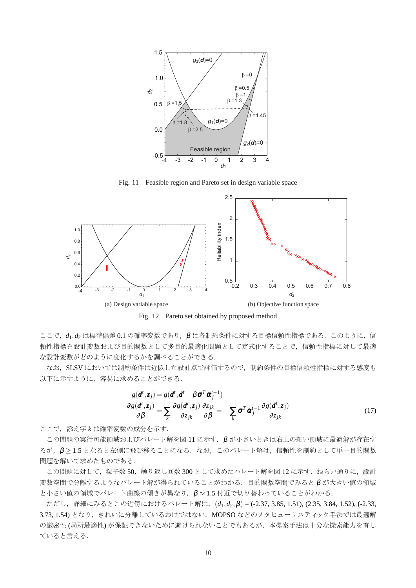

Fig. 11 Feasible region and Pareto set in design variable space



Fig. 12 Pareto set obtained by proposed method

ここで,  $d_1, d_2$ は標準偏差 0.1 の確率変数であり, β は各制約条件に対する目標信頼性指標である. このように, 信 頼性指標を設計変数および目的関数として多目的最適化問題として定式化することで,信頼性指標に対して最適 な設計変数がどのように変化するかを調べることができる.

なお, SLSV においては制約条件は近似した設計点で評価するので、制約条件の目標信頼性指標に対する感度も 以下に示すように,容易に求めることができる.

$$
g(\boldsymbol{d}^{t}, z_{j}) = g(\boldsymbol{d}^{t}, \boldsymbol{d}^{t} - \beta \boldsymbol{\sigma}^{T} \boldsymbol{\alpha}_{j}^{t-1})
$$

$$
\frac{\partial g(\boldsymbol{d}^{t}, z_{j})}{\partial \beta} = \sum_{k} \frac{\partial g(\boldsymbol{d}^{t}, z_{j})}{\partial z_{jk}} \frac{\partial z_{jk}}{\partial \beta} = -\sum_{k} \boldsymbol{\sigma}^{T} \boldsymbol{\alpha}_{j}^{t-1} \frac{\partial g(\boldsymbol{d}^{t}, z_{j})}{\partial z_{jk}}
$$
(17)

ここで,添え字 *k* は確率変数の成分を示す.

この問題の実行可能領域およびパレート解を図11に示す. β が小さいときは右上の細い領域に最適解が存在す るが,  $\beta \geq 1.5$ となると左側に飛び移ることになる. なお, このパレート解は, 信頼性を制約として単一目的関数 問題を解いて求めたものである.

この問題に対して、粒子数 50, 繰り返し回数 300 として求めたパレート解を図 12 に示す. ねらい通りに,設計 変数空間で分離するようなパレート解が得られていることがわかる.目的関数空間でみると β が大きい値の領域 と小さい値の領域でパレート曲線の傾きが異なり,β ≈ 1.5 付近で切り替わっていることがわかる.

ただし,詳細にみるとこの近傍におけるパレート解は,(*d*1,*d*2,β) = (-2.37, 3.85, 1.51), (2.35, 3.84, 1.52), (-2.33, 3.73, 1.54) となり、きれいに分離しているわけではない. MOPSO などのメタヒューリスティック手法では最適解 の厳密性 (局所最適性) が保証できないために避けられないことでもあるが、本提案手法は十分な探索能力を有し ていると言える.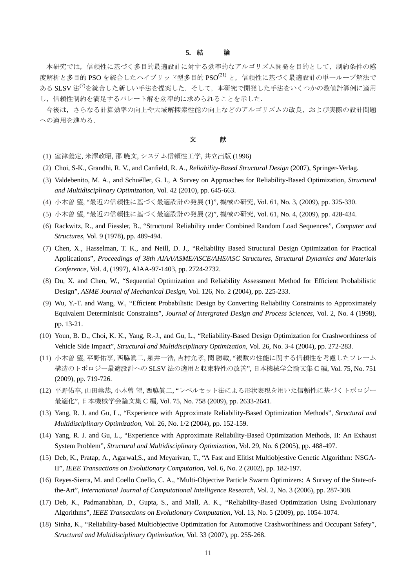#### **5.** 結 論

本研究では,信頼性に基づく多目的最適設計に対する効率的なアルゴリズム開発を目的として,制約条件の感 度解析と多目的 PSOを統合したハイブリッド型多目的 PSO<sup>(21)</sup> と、信頼性に基づく最適設計の単一ループ解法で ある SLSV 法<sup>(7)</sup>を統合した新しい手法を提案した.そして,本研究で開発した手法をいくつかの数値計算例に適用 し,信頼性制約を満足するパレート解を効率的に求められることを示した.

今後は,さらなる計算効率の向上や大域解探索性能の向上などのアルゴリズムの改良,および実際の設計問題 への適用を進める.

#### 文 献

- (1) 室津義定, 米澤政昭, 邵 暁文, システム信頼性工学, 共立出版 (1996)
- (2) Choi, S-K., Grandhi, R. V., and Canfield, R. A., *Reliability-Based Structural Design* (2007), Springer-Verlag.
- (3) Valdebenito, M. A., and Schuëller, G. I., A Survey on Approaches for Reliability-Based Optimization, *Structural and Multidisciplinary Optimization*, Vol. 42 (2010), pp. 645-663.
- (4) 小木曽 望, "最近の信頼性に基づく最適設計の発展 (1)", 機械の研究, Vol. 61, No. 3, (2009), pp. 325-330.
- (5) 小木曽 望, "最近の信頼性に基づく最適設計の発展 (2)", 機械の研究, Vol. 61, No. 4, (2009), pp. 428-434.
- (6) Rackwitz, R., and Fiessler, B., "Structural Reliability under Combined Random Load Sequences", *Computer and Structures*, Vol. 9 (1978), pp. 489-494.
- (7) Chen, X., Hasselman, T. K., and Neill, D. J., "Reliability Based Structural Design Optimization for Practical Applications", *Proceedings of 38th AIAA/ASME/ASCE/AHS/ASC Structures, Structural Dynamics and Materials Conference*, Vol. 4, (1997), AIAA-97-1403, pp. 2724-2732.
- (8) Du, X. and Chen, W., "Sequential Optimization and Reliability Assessment Method for Efficient Probabilistic Design", *ASME Journal of Mechanical Design*, Vol. 126, No. 2 (2004), pp. 225-233.
- (9) Wu, Y.-T. and Wang, W., "Efficient Probabilistic Design by Converting Reliability Constraints to Approximately Equivalent Deterministic Constraints", *Journal of Intergrated Design and Process Sciences*, Vol. 2, No. 4 (1998), pp. 13-21.
- (10) Youn, B. D., Choi, K. K., Yang, R.-J., and Gu, L., "Reliability-Based Design Optimization for Crashworthiness of Vehicle Side Impact", *Structural and Multidisciplinary Optimization*, Vol. 26, No. 3-4 (2004), pp. 272-283.
- (11) 小木曽 望, 平野佑享, 西脇眞二, 泉井一浩, 吉村允孝, 閔 勝載, "複数の性能に関する信頼性を考慮したフレーム 構造のトポロジー最適設計への SLSV 法の適用と収束特性の改善", 日本機械学会論文集 C 編, Vol. 75, No. 751 (2009), pp. 719-726.
- (12) 平野佑享, 山田崇恭, 小木曽 望, 西脇眞二, "レベルセット法による形状表現を用いた信頼性に基づくトポロジー 最適化", 日本機械学会論文集 C 編, Vol. 75, No. 758 (2009), pp. 2633-2641.
- (13) Yang, R. J. and Gu, L., "Experience with Approximate Reliability-Based Optimization Methods", *Structural and Multidisciplinary Optimization*, Vol. 26, No. 1/2 (2004), pp. 152-159.
- (14) Yang, R. J. and Gu, L., "Experience with Approximate Reliability-Based Optimization Methods, II: An Exhaust System Problem", *Structural and Multidisciplinary Optimization*, Vol. 29, No. 6 (2005), pp. 488-497.
- (15) Deb, K., Pratap, A., Agarwal,S., and Meyarivan, T., "A Fast and Elitist Multiobjestive Genetic Algorithm: NSGA-II", *IEEE Transactions on Evolutionary Computation*, Vol. 6, No. 2 (2002), pp. 182-197.
- (16) Reyes-Sierra, M. and Coello Coello, C. A., "Multi-Objective Particle Swarm Optimizers: A Survey of the State-ofthe-Art", *International Journal of Computational Intelligence Research*, Vol. 2, No. 3 (2006), pp. 287-308.
- (17) Deb, K., Padmanabhan, D., Gupta, S., and Mall, A. K., "Reliability-Based Optimization Using Evolutionary Algorithms", *IEEE Transactions on Evolutionary Computation*, Vol. 13, No. 5 (2009), pp. 1054-1074.
- (18) Sinha, K., "Reliability-based Multiobjective Optimization for Automotive Crashworthiness and Occupant Safety", *Structural and Multidisciplinary Optimization*, Vol. 33 (2007), pp. 255-268.